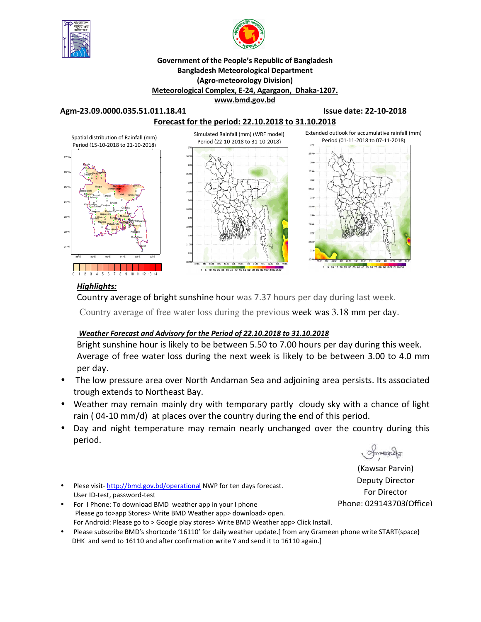



#### **Government of the People's Republic of Bangladesh Bangladesh Meteorological Department (Agro-meteorology Division) Meteorological Complex, E-24, Agargaon, Dhaka-1207. www.bmd.gov.bd**

#### **Agm-23.09.0000.035.51.011.18.41 Issue date: 22-10-2018**



## *Highlights:*

Country average of bright sunshine hour was 7.37 hours per day during last week.

Country average of free water loss during the previous week was 3.18 mm per day.

### *Weather Forecast and Advisory for the Period of 22.10.2018 to 31.10.2018*

Bright sunshine hour is likely to be between 5.50 to 7.00 hours per day during this week. Average of free water loss during the next week is likely to be between 3.00 to 4.0 mm per day.

- The low pressure area over North Andaman Sea and adjoining area persists. Its associated trough extends to Northeast Bay.
- Weather may remain mainly dry with temporary partly cloudy sky with a chance of light rain ( 04-10 mm/d) at places over the country during the end of this period.
- Day and night temperature may remain nearly unchanged over the country during this period.
- Plese visit- http://bmd.gov.bd/operational NWP for ten days forecast. User ID-test, password-test
- For I Phone: To download BMD weather app in your I phone Please go to>app Stores> Write BMD Weather app> download> open. For Android: Please go to > Google play stores> Write BMD Weather app> Click Install.
- Please subscribe BMD's shortcode '16110' for daily weather update.[ from any Grameen phone write START{space} DHK and send to 16110 and after confirmation write Y and send it to 16110 again.]

 $maxz$ 

(Kawsar Parvin) Deputy Director For Director Phone: 029143703(Office)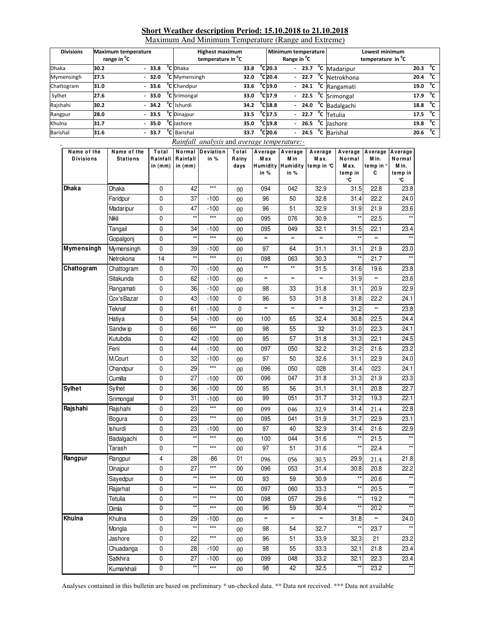### **Short Weather description Period: 15.10.2018 to 21.10.2018**

Maximum And Minimum Temperature (Range and Extreme)

| <b>Divisions</b> | <b>Maximum temperature</b><br>range in <sup>o</sup> C |         | <b>Highest maximum</b><br>temperature in <sup>o</sup> C |      |                              | Minimum temperature<br>Range in <sup>v</sup> C |  | Lowest minimum<br>temperature in <sup>o</sup> C |      |              |
|------------------|-------------------------------------------------------|---------|---------------------------------------------------------|------|------------------------------|------------------------------------------------|--|-------------------------------------------------|------|--------------|
| <b>Dhaka</b>     | 30.2                                                  | $-33.8$ | <sup>o</sup> C Dhaka                                    | 33.8 | $^{\circ}$ C20.3             |                                                |  | - $23.7 °C$ Madaripur                           | 20.3 | °c           |
| Mymensingh       | 27.5                                                  | 32.0    | <sup>o</sup> C Mymensingh                               | 32.0 | $^{\circ}$ C20.4             |                                                |  | $-22.7$ <sup>o</sup> C Netrokhona               | 20.4 | °c           |
| Chattogram       | 31.0                                                  | 33.6    | <sup>o</sup> C Chandpur                                 | 33.6 | $^{\circ}$ C 19.0            |                                                |  | - $24.1$ <sup>o</sup> C Rangamati               | 19.0 | °c           |
| Sylhet           | 27.6                                                  | $-33.0$ | <sup>o</sup> C Srimongal                                | 33.0 | $^{\circ}$ C17.9             |                                                |  | $-22.5$ °C Srimongal                            | 17.9 | $^{\circ}$ c |
| Rajshahi         | 30.2                                                  | 34.2    | <sup>o</sup> C Ishurdi                                  | 34.2 | $^{\circ}$ C 18.8            |                                                |  | $-$ 24.0 $^{\circ}$ C Badalgachi                | 18.8 | °°           |
| Rangpur          | 28.0                                                  | $-33.5$ | <sup>o</sup> C Dinajpur                                 | 33.5 | $^{\circ}$ C 17.5            |                                                |  | $-22.7$ °C Tetulia                              | 17.5 | $^{\circ}$ c |
| Khulna           | 31.7                                                  | $-35.0$ | <sup>o</sup> C lashore                                  | 35.0 | $^{\circ}$ C <sub>19.8</sub> |                                                |  | - 26.5 $^{\circ}$ C Jashore                     | 19.8 | $^{\circ}$ c |
| Barishal         | 31.6                                                  | $-33.7$ | <sup>o</sup> C Barishal                                 | 33.7 | $^{\circ}$ C 20.6            |                                                |  | - $24.5 \text{ °C}$ Barishal                    | 20.6 | °c           |

| Rainfall analysis and average temperature:- |                                |                              |                       |                          |                        |               |                                   |                                                 |                                             |                                    |                                            |
|---------------------------------------------|--------------------------------|------------------------------|-----------------------|--------------------------|------------------------|---------------|-----------------------------------|-------------------------------------------------|---------------------------------------------|------------------------------------|--------------------------------------------|
| Name of the<br><b>Divisions</b>             | Name of the<br><b>Stations</b> | Total<br>Rainfall<br>in (mm) | Rainfall<br>in $(mm)$ | Normal Deviation<br>in % | Total<br>Rainy<br>days | Max<br>in $%$ | Average   Average<br>M in<br>in % | Average<br>Max.<br>Humidity Humidity temp in °C | Average<br>Normal<br>M ax.<br>temp in<br>°C | Average<br>M in.<br>temp in °<br>C | Average<br>Normal<br>Min.<br>temp in<br>۰C |
| Dhaka                                       | Dhaka                          | 0                            | 42                    | $***$                    | 00                     | 094           | 042                               | 32.9                                            | 31.5                                        | 22.8                               | 23.8                                       |
|                                             | Faridpur                       | $\pmb{0}$                    | 37                    | $-100$                   | $00\,$                 | 96            | 50                                | 32.8                                            | 31.4                                        | 22.2                               | 24.0                                       |
|                                             | Madaripur                      | $\pmb{0}$                    | 47                    | $-100$                   | 00                     | 96            | 51                                | 32.9                                            | 31.9                                        | 21.9                               | 23.6                                       |
|                                             | Nikli                          | $\pmb{0}$                    | $\star\star$          | $***$                    | 00                     | 095           | 076                               | 30.9                                            | $\star\star$                                | 22.5                               | $\star\star$                               |
|                                             | Tangail                        | 0                            | 34                    | $-100$                   | 00                     | 095           | 049                               | 32.1                                            | 31.5                                        | 22.1                               | 23.4                                       |
|                                             | Gopalgonj                      | $\pmb{0}$                    | $\star\star$          | $***$                    | 00                     | $\ast\ast$    | ₩                                 | $\ast\ast$                                      | $\star\star$                                | **                                 | $*$                                        |
| Mymensingh                                  | Mymensingh                     | $\pmb{0}$                    | 39                    | $-100$                   | 00                     | 97            | 64                                | 31.1                                            | 31.1                                        | 21.9                               | 23.0                                       |
|                                             | Netrokona                      | 14                           | $\star\star$          | $***$                    | 01                     | 098           | 063                               | 30.3                                            | $\star\star$                                | 21.7                               | $\star$                                    |
| Chattogram                                  | Chattogram                     | 0                            | 70                    | $-100$                   | 00                     | $\star\star$  | $\star\star$                      | 31.5                                            | 31.6                                        | 19.6                               | 23.8                                       |
|                                             | Sitakunda                      | 0                            | 62                    | $-100$                   | 00                     | $\ast\ast$    | ₩                                 | $\ast\ast$                                      | 31.9                                        | **                                 | 23.6                                       |
|                                             | Rangamati                      | $\pmb{0}$                    | 36                    | $-100$                   | $00\,$                 | 98            | 33                                | 31.8                                            | 31.1                                        | 20.9                               | 22.9                                       |
|                                             | Cox'sBazar                     | $\pmb{0}$                    | 43                    | $-100$                   | $\mathbf 0$            | 96            | 53                                | 31.8                                            | 31.8                                        | 22.2                               | 24.1                                       |
|                                             | Teknaf                         | 0                            | 61                    | $-100$                   | $\mathbf 0$            | **            | ₩                                 | $\ast\ast$                                      | 31.2                                        | **                                 | 23.8                                       |
|                                             | Hatiya                         | 0                            | 54                    | $-100$                   | 00                     | 100           | 65                                | 32.4                                            | 30.8                                        | 22.5                               | 24.4                                       |
|                                             | Sandw ip                       | $\pmb{0}$                    | 66                    | $***$                    | 00                     | 98            | 55                                | 32                                              | 31.0                                        | 22.3                               | 24.1                                       |
|                                             | Kutubdia                       | $\mathbf 0$                  | 42                    | $-100$                   | 00                     | 95            | 57                                | 31.8                                            | 31.3                                        | 22.1                               | 24.5                                       |
|                                             | Feni                           | 0                            | 44                    | $-100$                   | 00                     | 097           | 050                               | 32.2                                            | 31.2                                        | 21.6                               | 23.2                                       |
|                                             | M.Court                        | 0                            | 32                    | $-100$                   | 00                     | 97            | 50                                | 32.6                                            | 31.1                                        | 22.9                               | 24.0                                       |
|                                             | Chandpur                       | 0                            | 29                    | $\star\star\star$        | 00                     | 096           | 050                               | 028                                             | 31.4                                        | 023                                | 24.1                                       |
|                                             | Cumilla                        | $\pmb{0}$                    | 27                    | $-100$                   | 00                     | 096           | 047                               | 31.8                                            | 31.3                                        | 21.9                               | 23.3                                       |
| <b>Sylhet</b>                               | Sylhet                         | 0                            | 36                    | $-100$                   | 00                     | 95            | 56                                | 31.1                                            | 31.1                                        | 20.8                               | 22.7                                       |
|                                             | Srimongal                      | 0                            | 31                    | $-100$                   | 00                     | 99            | 051                               | 31.7                                            | 31.2                                        | 19.3                               | 22.1                                       |
| Rajshahi                                    | Rajshahi                       | 0                            | 23                    | $***$                    | 00                     | 099           | 046                               | 32.9                                            | 31.4                                        | 21.4                               | 22.8                                       |
|                                             | Bogura                         | $\pmb{0}$                    | 23                    | $***$                    | 00                     | 095           | 041                               | 31.9                                            | 31.7                                        | 22.9                               | 23.1                                       |
|                                             | Ishurdi                        | 0                            | 23                    | $-100$                   | 00                     | 97            | 40                                | 32.9                                            | 31.4                                        | 21.6                               | 22.9                                       |
|                                             | Badalgachi                     | 0                            | $\star\star$          | $***$                    | 00                     | 100           | 044                               | 31.6                                            | $\star\star$                                | 21.5                               | $\star\star$                               |
|                                             | Tarash                         | 0                            | $\star\star$          | $***$                    | 00                     | 97            | 51                                | 31.6                                            | $\star\star$                                | 22.4                               | $\star\star$                               |
| Rangpur                                     | Rangpur                        | 4                            | 28                    | -86                      | 01                     | 096           | 056                               | 30.5                                            | 29.9                                        | 21.4                               | 21.8                                       |
|                                             | Dinajpur                       | 0                            | 27                    | $***$                    | $00\,$                 | 096           | 053                               | 31.4                                            | 30.8                                        | 20.8                               | 22.2                                       |
|                                             | Sayedpur                       | 0                            | $\star\star$          | $***$                    | $00\,$                 | 93            | 59                                | 30.9                                            | $^{\star\star}$                             | 20.6                               | $^{\star\star}$                            |
|                                             | Rajarhat                       | 0                            | $\star\star$          | $***$                    | $00\,$                 | 097           | 060                               | 33.3                                            | $^{\star\star}$                             | 20.5                               | $\star\star$                               |
|                                             | Tetulia                        | 0                            | **                    | $***$                    | 00                     | 098           | 057                               | 29.6                                            | $^{\star\star}$                             | 19.2                               | $\star\star$                               |
|                                             | Dimla                          | 0                            | **                    | $***$                    | $00\,$                 | 96            | 59                                | 30.4                                            | $\star\star$                                | 20.2                               | $***$                                      |
| Khulna                                      | Khulna                         | 0                            | 29                    | $-100$                   | 00                     | $\ast\ast$    | ₩                                 | $\ast\ast$                                      | 31.8                                        | $\ast\ast$                         | 24.0                                       |
|                                             | Mongla                         | 0                            | $\star\star$          | $\star\star\star$        | 00                     | 98            | 54                                | 32.7                                            | $^{\star\star}$                             | 23.7                               | $^{\star\star}$                            |
|                                             | Jashore                        | 0                            | 22                    | $\star\star\star$        | 00                     | 96            | 51                                | 33.9                                            | 32.3                                        | 21                                 | 23.2                                       |
|                                             | Chuadanga                      | 0                            | 28                    | $-100$                   | 00                     | 98            | 55                                | 33.3                                            | 32.1                                        | 21.8                               | 23.4                                       |
|                                             | Satkhira                       | 0                            | 27                    | $-100$                   | $00\,$                 | 099           | 048                               | 33.2                                            | 32.1                                        | 22.3                               | 23.4                                       |
|                                             | Kumarkhali                     | $\overline{0}$               | $\star\star$          | $\star\star\star$        | $00\,$                 | 98            | 42                                | 32.5                                            | $\star\star$                                | 23.2                               | $^{\star\star}$                            |

Analyses contained in this bulletin are based on preliminary \* un-checked data. \*\* Data not received. \*\*\* Data not available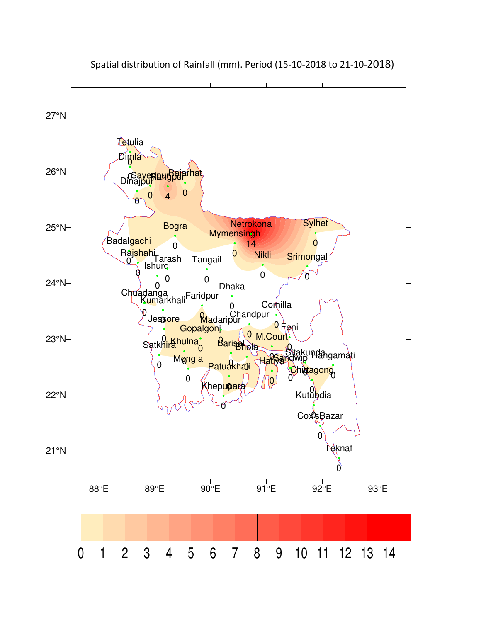

Spatial distribution of Rainfall (mm). Period (15-10-2018 to 21-10-2018)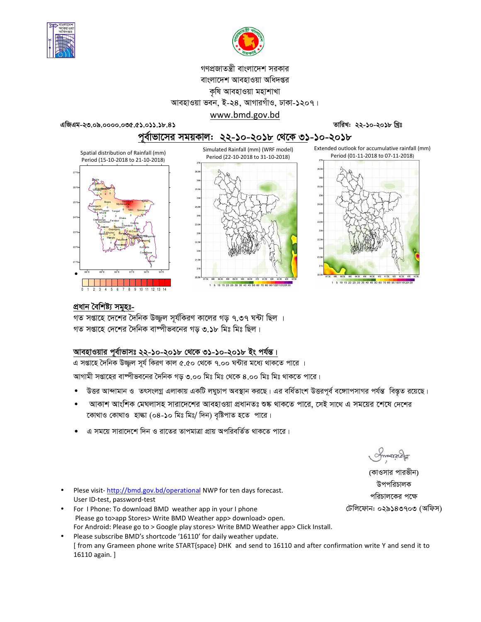



# গণপ্রজাতন্ত্রী বাংলাদেশ সরকার বাংলাদেশ আবহাওয়া অধিদপ্তর কৃষি আবহাওয়া মহাশাখা আবহাওয়া ভবন, ই-২৪, আগারগাঁও, ঢাকা-১২০৭।

www.bmd.gov.bd

এজিএম-২৩.০৯.০০০০.০৩৫.৫১.০১১.১৮.৪১

#### তারিখ: ২২-১০-২০১৮ খ্রিঃ

## পুর্বাভাসের সময়কাল: ২২-১০-২০১৮ থেকে ৩১-১০-২০১৮







## প্ৰধান বৈশিষ্ট্য সমূহঃ-

গত সপ্তাহে দেশের দৈনিক উজ্জল সূর্যকিরণ কালের গড় ৭.৩৭ ঘন্টা ছিল । গত সপ্তাহে দেশের দৈনিক বাষ্পীভবনের গড ৩.১৮ মিঃ মিঃ ছিল।

## আবহাওয়ার পূর্বাভাসঃ ২২-১০-২০১৮ থেকে ৩১-১০-২০১৮ ইং পর্যন্ত।

এ সপ্তাহে দৈনিক উজ্জ্বল সূর্য কিরণ কাল ৫.৫০ থেকে ৭.০০ ঘন্টার মধ্যে থাকতে পারে ।

আগামী সপ্তাহের বাম্পীভবনের দৈনিক গড় ৩.০০ মিঃ মিঃ থেকে ৪.০০ মিঃ মিঃ থাকতে পারে।

- উত্তর আন্দামান ও তৎসংলগ্ন এলাকায় একটি লঘুচাপ অবস্থান করছে। এর বর্ধিতাংশ উত্তরপূর্ব বঙ্গোপসাগর পর্যন্ত বিস্তৃত রয়েছে।
- আকাশ আংশিক মেঘলাসহ সারাদেশের আবহাওয়া প্রধানতঃ শুষ্ক থাকতে পারে, সেই সাথে এ সময়ের শেষে দেশের কোথাও কোথাও হাল্কা (০৪-১০ মিঃ মিঃ/ দিন) বৃষ্টিপাত হতে পারে।
- এ সময়ে সারাদেশে দিন ও রাতের তাপমাত্রা প্রায় অপরিবর্তিত থাকতে পারে।

Plese visit-http://bmd.gov.bd/operational NWP for ten days forecast. User ID-test, password-test

- For I Phone: To download BMD weather app in your I phone Please go to>app Stores> Write BMD Weather app> download> open. For Android: Please go to > Google play stores> Write BMD Weather app> Click Install.
- Please subscribe BMD's shortcode '16110' for daily weather update. [ from any Grameen phone write START{space} DHK and send to 16110 and after confirmation write Y and send it to 16110 again. ]

(কাওসার পারভীন) উপপরিচালক পরিচালকের পক্ষে টেলিফোন: ০২৯১৪৩৭০৩ (অফিস)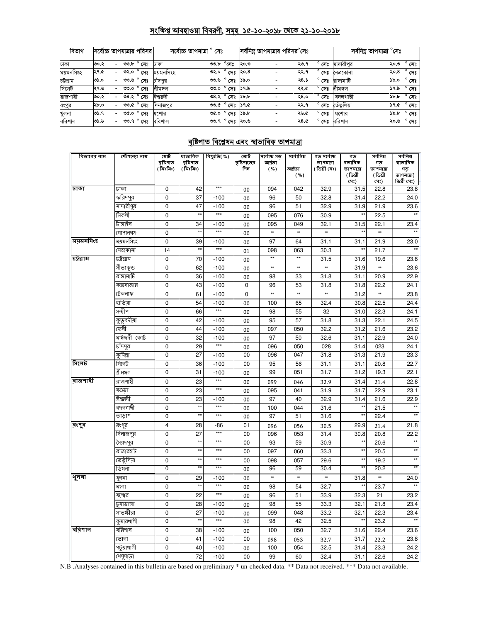## সংক্ষিপ্ত আবহাওয়া বিবরণী, সমূহ ১৫-১০-২০১৮ থেকে ২১-১০-২০১৮

| বিভাগ     | সর্বোচ্চ তাপমাত্রার পরিসর |                          |            |                |           | সৰ্বোচ্চ তাপমাত্ৰা<br>সেঃ |                |                  |                          | সর্বনিম্ন তাপমাত্রার পরিসর°সেঃ |                |            | সৰ্বনিম্ন তাপমাত্ৰা '<br>$^\circ$ সেঃ |                |
|-----------|---------------------------|--------------------------|------------|----------------|-----------|---------------------------|----------------|------------------|--------------------------|--------------------------------|----------------|------------|---------------------------------------|----------------|
| ঢাকা      | ৩০.২                      | -                        | ৩৩,৮       | সেঃ            | ঢাকা      | 00.b                      | $^{\circ}$ সেঃ | ২০.৩             |                          | ২৩.৭                           | $^{\circ}$ সেঃ | মাদারীপুর  | ২০.৩                                  | $^{\circ}$ সেঃ |
| ময়মনসিংহ | ২৭.৫                      | -                        | ৩২.০       | $^{\circ}$ সেঃ | ময়মনসিংহ | ৩২.০                      | $^{\circ}$ সেঃ | ২০.৪             |                          | ২২.৭                           | সেঃ            | নেত্ৰকোনা  | ২০.৪                                  | $^{\circ}$ সেঃ |
| চউগ্ৰাম   | ৩১.০                      | $\overline{\phantom{0}}$ | ৩৩.৬       | সেঃ            | চাদপর     | ৩৩.৬                      | $^{\circ}$ সেঃ | ১৯.০             |                          | ২৪.১                           | সেঃ            | রাসামাটি   | ১৯.০                                  | $^{\circ}$ সেঃ |
| সিলেট     | ।২৭.৬                     | -                        | ৩৩.০       | $^{\circ}$ সেঃ | ধীমঙ্গল   | 00.0                      | $^{\circ}$ সেঃ | ১৭.৯             |                          | ২২.৫                           | $^{\circ}$ সেঃ | শ্ৰীমঙ্গল  | ১৭.৯                                  | $^{\circ}$ সেঃ |
| রাজশাহী   | ৩০.২                      |                          | ৩৪.২       | সেঃ            | ঈশ্বরদী   |                           | ৩৪.২ ° সেঃ     | $\delta b$ , $b$ |                          | २8.०                           | $\circ$<br>সেঃ | বদলগাছী    | 5b.b                                  | $^{\circ}$ সেঃ |
| রংপুর     | ২৮.০                      | $\overline{\phantom{0}}$ | ৩৩.৫       | $^{\circ}$ সেঃ | দিনাজপুর  | ৩৩.৫                      | ° সেঃ          | ১৭.৫             | $\overline{\phantom{0}}$ | ২২.৭                           | ۰<br>সেঃ       | তেঁতুলিয়া | <b>১৭.৫</b>                           | $^{\circ}$ সেঃ |
| খুলনা     | ৩১.৭                      | -                        | ৩৫.০       | $^{\circ}$ সেঃ | যশোর      | ৩৫.০                      | $^{\circ}$ সেঃ | ১৯.৮             |                          | ২৬.৫                           | $\circ$<br>সেঃ | যশোর       | ১৯.৮                                  | $\circ$<br>সেঃ |
| বরিশাল    | ৩১.৬                      | $\overline{\phantom{0}}$ | ৩৩.৭ ° সেঃ |                | বরিশাল    |                           | ৩৩.৭ ° সেঃ     | ২০.৬             | $\overline{\phantom{a}}$ | ২৪.৫                           | $^{\circ}$ সেঃ | বরিশাল     | ২০.৬                                  | $^{\circ}$ সেঃ |

# <u>বৃষ্টিপাত বিশ্লেষন এবং স্বাভাবিক তাপমাত্রা</u>

| বিভাগের নাম | স্টেশনের নাম | মোট<br>বৃষ্টিপাত | ষাভাবিক<br>বৃষ্টিপাত | বিছ্যুতি( %) | মোট<br>বৃষ্টিপাতের | সৰ্বোচ্চ গড়<br>আৰ্দ্ৰতা | সৰ্বোনিম্ন | গড় সৰ্বোচ্চ<br>তাপমাত্রা | গড<br>ষভাবিক    | সৰ্বনিম্ন<br>গড | সর্বনিম্ন<br>ষাভাবিক      |
|-------------|--------------|------------------|----------------------|--------------|--------------------|--------------------------|------------|---------------------------|-----------------|-----------------|---------------------------|
|             |              | (মিঃমিঃ)         | (মিঃমিঃ)             |              | দিন                | ( %)                     | আৰ্দ্ৰতা   | ( ডিগ্ৰী সেঃ)             | তাপমাত্রা       | তাপমাত্রা       | গড                        |
|             |              |                  |                      |              |                    |                          | ( %)       |                           | (ডিগ্ৰী<br>(সঃ) | (ডিগ্ৰী<br>সেঃ) | তাপমাত্রা(<br>ডিগ্ৰী সেঃ) |
| ঢাকা        | ঢাকা         | $\mathbf 0$      | 42                   | $***$        | 00                 | 094                      | 042        | 32.9                      | 31.5            | 22.8            | 23.8                      |
|             | ফরিদপুর      | $\mathbf 0$      | 37                   | $-100$       | 00                 | 96                       | 50         | 32.8                      | 31.4            | 22.2            | 24.0                      |
|             | মাদারীপুর    | 0                | 47                   | $-100$       | 00                 | 96                       | 51         | 32.9                      | 31.9            | 21.9            | 23.6                      |
|             | নিকলী        | 0                | $\star\star$         | $***$        | 00                 | 095                      | 076        | 30.9                      | $\star\star$    | 22.5            |                           |
|             | টাঙ্গাইল     | 0                | 34                   | $-100$       | 00                 | 095                      | 049        | 32.1                      | 31.5            | 22.1            | 23.4                      |
|             | গোপালগঞ্জ    | 0                | $\star\star$         | $***$        | 00                 | **                       | **         | **                        | $\star\star$    | **              | $\star$                   |
| ময়মনসিংহ   | ময়মনসিংহ    | 0                | 39                   | $-100$       | 00                 | 97                       | 64         | 31.1                      | 31.1            | 21.9            | 23.0                      |
|             | নেত্ৰকোনা    | 14               | $\star\star$         | $***$        | 01                 | 098                      | 063        | 30.3                      | $\star\star$    | 21.7            | $\star\star$              |
| চট্টগ্ৰাম   | ঢট্রগ্রাম    | 0                | 70                   | $-100$       | 00                 | $\star\star$             | $++$       | 31.5                      | 31.6            | 19.6            | 23.8                      |
|             | সীতাকুন্ড    | 0                | 62                   | $-100$       | 00                 | **                       | $\ast\ast$ | **                        | 31.9            | **              | 23.6                      |
|             | রাঙ্গামাটি   | 0                | 36                   | $-100$       | 00                 | 98                       | 33         | 31.8                      | 31.1            | 20.9            | 22.9                      |
|             | কক্সবাজার    | 0                | 43                   | $-100$       | 0                  | 96                       | 53         | 31.8                      | 31.8            | 22.2            | 24.1                      |
|             | টেকনাফ       | 0                | 61                   | $-100$       | $\mathbf 0$        | ×                        | **         | **                        | 31.2            | **              | 23.8                      |
|             | হাতিয়া      | 0                | 54                   | $-100$       | 00                 | 100                      | 65         | 32.4                      | 30.8            | 22.5            | 24.4                      |
|             | সন্দ্বীপ     | 0                | 66                   | $***$        | 00                 | 98                       | 55         | 32                        | 31.0            | 22.3            | 24.1                      |
|             | কুতুবদীয়া   | 0                | 42                   | $-100$       | 00                 | 95                       | 57         | 31.8                      | 31.3            | 22.1            | 24.5                      |
|             | কেনী         | 0                | 44                   | $-100$       | 00                 | 097                      | 050        | 32.2                      | 31.2            | 21.6            | 23.2                      |
|             | মাইজদী কোট   | 0                | 32                   | $-100$       | 00                 | 97                       | 50         | 32.6                      | 31.1            | 22.9            | 24.0                      |
|             | চাঁদপুর      | 0                | 29                   | $***$        | 00                 | 096                      | 050        | 028                       | 31.4            | 023             | 24.1                      |
|             | কুমিল্লা     | 0                | 27                   | $-100$       | 00                 | 096                      | 047        | 31.8                      | 31.3            | 21.9            | 23.3                      |
| সিলেট       | সিলেট        | 0                | 36                   | $-100$       | 00                 | 95                       | 56         | 31.1                      | 31.1            | 20.8            | 22.7                      |
|             | শ্ৰীমঙ্গল    | $\overline{0}$   | 31                   | $-100$       | 00                 | 99                       | 051        | 31.7                      | 31.2            | 19.3            | 22.1                      |
| রাজশাহী     | রাজশাহী      | 0                | 23                   | $***$        | 00                 | 099                      | 046        | 32.9                      | 31.4            | 21.4            | 22.8                      |
|             | বগুডা        | 0                | 23                   | $***$        | 00                 | 095                      | 041        | 31.9                      | 31.7            | 22.9            | 23.1                      |
|             | ঈশ্বরদী      | 0                | 23                   | $-100$       | 00                 | 97                       | 40         | 32.9                      | 31.4            | 21.6            | 22.9                      |
|             | বদলগাঘী      | 0                | $\star$              | $***$        | 00                 | 100                      | 044        | 31.6                      | $\star\star$    | 21.5            |                           |
|             | তাডাশ        | 0                |                      | $***$        | 00                 | $\overline{97}$          | 51         | 31.6                      | $\star$         | 22.4            |                           |
| রংপুর       | রংপুর        | 4                | 28                   | -86          | 01                 | 096                      | 056        | 30.5                      | 29.9            | 21.4            | 21.8                      |
|             | দিনাজপুর     | 0                | 27                   | ***          | 00                 | 096                      | 053        | 31.4                      | 30.8            | 20.8            | 22.2                      |
|             | সৈয়দপুর     | 0                | $\star$              | $***$        | 00                 | 93                       | 59         | 30.9                      | $\star\star$    | 20.6            | $\star\star$              |
|             | রাজারহাট     | 0                | $\star\star$         | ***          | 00                 | 097                      | 060        | 33.3                      | $\star\star$    | 20.5            | $\star\star$              |
|             | তেতুঁলিয়া   | 0                | $\star$              | $***$        | 00                 | 098                      | 057        | 29.6                      | $\star\star$    | 19.2            | $\star\star$              |
|             | ডিমলা        | 0                |                      | $***$        | 00                 | 96                       | 59         | 30.4                      |                 | 20.2            |                           |
| থুলনা       | থুলনা        | 0                | 29                   | $-100$       | 00                 | ×                        | **         | **                        | 31.8            |                 | 24.0                      |
|             | মংলা         | $\mathbf 0$      | $\star\star$         | $***$        | 00                 | 98                       | 54         | 32.7                      | $\star\star$    | 23.7            |                           |
|             | যশোর         | 0                | 22                   | ***          | 00                 | 96                       | 51         | 33.9                      | 32.3            | 21              | 23.2                      |
|             | চুয়াডাঙ্গা  | 0                | 28                   | $-100$       | 00                 | 98                       | 55         | 33.3                      | 32.1            | 21.8            | 23.4                      |
|             | সাতক্ষীরা    | 0                | 27                   | $-100$       | 00                 | 099                      | 048        | 33.2                      | 32.1            | 22.3            | 23.4                      |
|             | কৃমারখালী    | $\overline{0}$   |                      | $***$        | 00                 | 98                       | 42         | 32.5                      | $\star$         | 23.2            | $\star\star$              |
| বরিশাল      | বরিশাল       | 0                | 38                   | $-100$       | 00                 | 100                      | 050        | 32.7                      | 31.6            | 22.4            | 23.6                      |
|             | ভোলা         | 0                | 41                   | $-100$       | 00                 | 098                      | 053        | 32.7                      | 31.7            | 22.2            | 23.8                      |
|             | পটুয়াথালী   | 0                | 40                   | $-100$       | 00                 | 100                      | 054        | 32.5                      | 31.4            | 23.3            | 24.2                      |
|             | খেপুপাড়া    | 0                | 72                   | $-100$       | 00                 | 99                       | 60         | 32.4                      | 31.1            | 22.6            | 24.2                      |

N.B. Analyses contained in this bulletin are based on preliminary \* un-checked data. \*\* Data not received. \*\*\* Data not available.